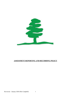

# ASSESSMENT REPORTING AND RECORDING POLICY

Reviewed – January 2020 (Mrs Campbell) 1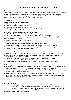# ASSESSMENT REPORTING AND RECORDING POLICY

# Introduction

Assessment is the process of forming judgements based upon information. Assessment in primary schools is used to both inform teachers about how to plan future learning (Assessment for Learning / Formative assessment) and to make a summative judgement of a child's attainment. It is carried out for: the learner, the learner's parents, the teacher, headteacher, governors or inspectors.

# 1. Purposes

# At school we assess pupils' work in order to:

- a) Plan and manage the learning experiences of the child.
- b) Measure pupil attainment and progress
- c) Identify difficulties which are impeding learning.
- d) Identify the stage in the year group curriculum that the child has reached.

# 2. Children should have an assessment process which:

- a) Provides reliable and credible information to support their progression in learning
- b) Accurately identifies and tracks their progress and identifies underachievement

c) Is motivating and actively involves pupils in review, target setting and self-evaluation against the learning objectives for lessons.

d) Provides opportunities for peer-assessment.

# 3. Teachers should have assessment and recording procedures which:

- a) Support quality teaching and learning by tracking progress and identifying underachievement.
- b) Are manageable, sustainable, consistent across school, useful and meet statutory requirements
- c) Expect only one point of data entry per judgement.

# 4. Parents should have an assessment and reporting practice which:

- a) Celebrates children's success/progress and involves them in helping their child to meet learning targets.
- b) Provides them with opportunities to review and discuss their child's achievements and identifies weakness and how they will be addressed.
- c) Ensures that information about their child is detailed, specific and easy to understand.
- d) Gives a clear indication of the effort their child makes with their work.
- e) Indicates how the child is performing against National Standard (National Curriculum 2014).

# 5. Planning

- Planning is the key to effective assessment and both are crucial to quality learning. Learning intentions and assessment objectives are identical and assessment should always inform planning.
- We share the learning objectives of a lesson with the children at the beginning of each lesson. These are recorded as LO in the children's books.
- Expected outcomes from each lesson are shared with children. The children will know what "success" looks like. This will allow regular pupil self-assessment and peer assessment and encourage a greater level of pupil engagement with their learning.

#### 6. Record Keeping

 Records of pupil attainment are kept on the 'Angela Kirk' data spreadsheet. Teachers enter this data relating to Reading, Writing and Maths 3 times per year. From this, teachers get information about attainment and progress of individual children, cohorts and specific groups. Progress in science and RE is also recorded 3 times a year on the subject trackers.

Reviewed – January 2020 (Mrs Campbell) 2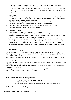- A copy of the pupils' annual report to parents is kept in a green folder and passed onwards through each school year. (See policy Section 8)
- Copies of SEND Small Steps for Learning are produced termly and given to the SENCO at the end of the year. They are reviewed by the SENCO to ensure smart and measurable targets are set by the class teacher.

# 7. Moderation

- School has whole school or key stage meetings to moderate children's assessments against the National Curriculum (2014) expectations of each year group. This ensures a greater consistency of assessment between teachers and across subjects.
- SLT and Middle Managers also conduct scrutiny and moderation of teachers' assessments.
- Moderation will also involve pupil interview and scrutiny of teacher planning.
- Pupil progress meetings between senior staff and class teachers are conducted termly.
- Moderation takes place between the local area of schools

# 6. Reporting to Parents

- The annual pupil written report is a vital link with parents.
- The report has a positive effect on pupils' attitudes, motivation and self-esteem.
- The report contains information about pupils' attitudes, effort and dispositions towards school and work. A small section of the report invites a parental response.
- Parents receive a written 'next steps' required that teachers produce at each Parent's Evening.
- The end of year report will give a summary of the child's attendance and any associated social or behavioural issues and any reports from peripatetic, specialist or support teachers are included.
- SATs results are also given to parents (on a separate document) at the end of year, as soon as they are received back in school.

# 7. Responsibilities

# Assessment Co-ordinator

- a) Supports and leads the development and planning of Assessment Reporting and Recording.
- b) Completes an analysis of external data (ASP, IDSR, Perspective Lite) and reports to SLT and Head Teacher, and Governors.
- c) Complete Angela Kirk's proforma HS10 summarises key information from all main data sources

# Class Teachers

a) Undertake ongoing teacher assessments in reading, writing, maths, science and RE during the course of units of work and record judgements

b) Monitor pupil progress for both termly Teacher / Headteacher Pupil Interviews and Performance Management discussions.

- c) Complete an annual report to parents using the most current report format.
- d) Meet with parents each term at Parent's Evenings.

#### 8. Individual Information (Pupil Green Folder)

This folder contains the following….

- 1) Copy of annual Teacher Reports to parents
- 2) KSI SATs Results
- 3) Important letters / correspondence from school to parent or parent to school.

# 9. Formative Assessment / Marking

Reviewed – January 2020 (Mrs Campbell) 3